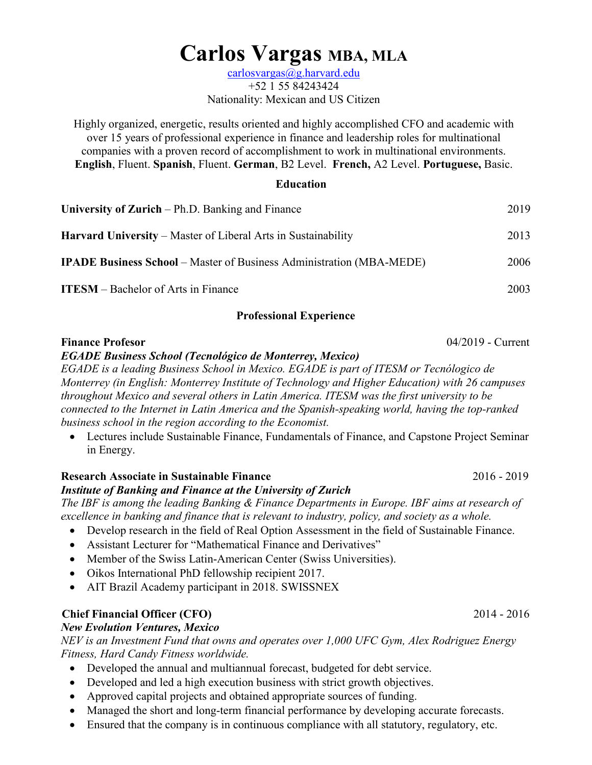# **Carlos Vargas MBA, MLA**

[carlosvargas@g.harvard.edu](mailto:carlosvargas@g.harvard.edu) +52 1 55 84243424 Nationality: Mexican and US Citizen

Highly organized, energetic, results oriented and highly accomplished CFO and academic with over 15 years of professional experience in finance and leadership roles for multinational companies with a proven record of accomplishment to work in multinational environments. **English**, Fluent. **Spanish**, Fluent. **German**, B2 Level. **French,** A2 Level. **Portuguese,** Basic.

#### **Education**

| 2019 |
|------|
| 2013 |
| 2006 |
| 2003 |
|      |

#### **Professional Experience**

# **Finance Profesor** 04/2019 - Current

## *EGADE Business School (Tecnológico de Monterrey, Mexico)*

*EGADE is a leading Business School in Mexico. EGADE is part of ITESM or Tecnólogico de Monterrey (in English: Monterrey Institute of Technology and Higher Education) with 26 campuses throughout Mexico and several others in Latin America. ITESM was the first university to be connected to the Internet in Latin America and the Spanish-speaking world, having the top-ranked business school in the region according to the Economist.*

• Lectures include Sustainable Finance, Fundamentals of Finance, and Capstone Project Seminar in Energy.

### **Research Associate in Sustainable Finance** 2016 - 2019

#### *Institute of Banking and Finance at the University of Zurich*

*The IBF is among the leading Banking & Finance Departments in Europe. IBF aims at research of excellence in banking and finance that is relevant to industry, policy, and society as a whole.*

- Develop research in the field of Real Option Assessment in the field of Sustainable Finance.
- Assistant Lecturer for "Mathematical Finance and Derivatives"
- Member of the Swiss Latin-American Center (Swiss Universities).
- Oikos International PhD fellowship recipient 2017.
- AIT Brazil Academy participant in 2018. SWISSNEX

## **Chief Financial Officer (CFO)**2014 - 2016

#### *New Evolution Ventures, Mexico*

*NEV is an Investment Fund that owns and operates over 1,000 UFC Gym, Alex Rodriguez Energy Fitness, Hard Candy Fitness worldwide.* 

- Developed the annual and multiannual forecast, budgeted for debt service.
- Developed and led a high execution business with strict growth objectives.
- Approved capital projects and obtained appropriate sources of funding.
- Managed the short and long-term financial performance by developing accurate forecasts.
- Ensured that the company is in continuous compliance with all statutory, regulatory, etc.